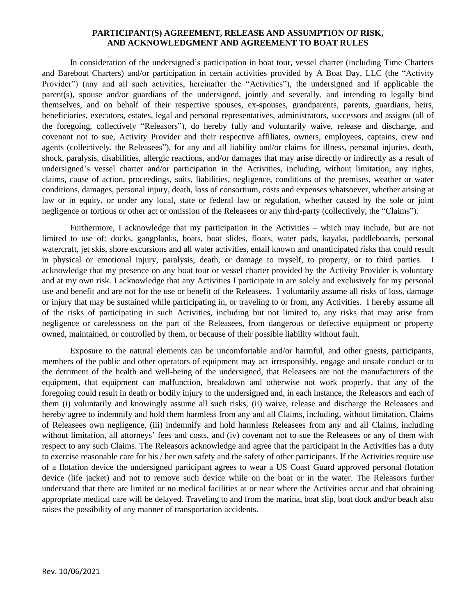#### **PARTICIPANT(S) AGREEMENT, RELEASE AND ASSUMPTION OF RISK, AND ACKNOWLEDGMENT AND AGREEMENT TO BOAT RULES**

In consideration of the undersigned's participation in boat tour, vessel charter (including Time Charters and Bareboat Charters) and/or participation in certain activities provided by A Boat Day, LLC (the "Activity Provider") (any and all such activities, hereinafter the "Activities"), the undersigned and if applicable the parent(s), spouse and/or guardians of the undersigned, jointly and severally, and intending to legally bind themselves, and on behalf of their respective spouses, ex-spouses, grandparents, parents, guardians, heirs, beneficiaries, executors, estates, legal and personal representatives, administrators, successors and assigns (all of the foregoing, collectively "Releasors"), do hereby fully and voluntarily waive, release and discharge, and covenant not to sue, Activity Provider and their respective affiliates, owners, employees, captains, crew and agents (collectively, the Releasees"), for any and all liability and/or claims for illness, personal injuries, death, shock, paralysis, disabilities, allergic reactions, and/or damages that may arise directly or indirectly as a result of undersigned's vessel charter and/or participation in the Activities, including, without limitation, any rights, claims, cause of action, proceedings, suits, liabilities, negligence, conditions of the premises, weather or water conditions, damages, personal injury, death, loss of consortium, costs and expenses whatsoever, whether arising at law or in equity, or under any local, state or federal law or regulation, whether caused by the sole or joint negligence or tortious or other act or omission of the Releasees or any third-party (collectively, the "Claims").

Furthermore, I acknowledge that my participation in the Activities – which may include, but are not limited to use of: docks, gangplanks, boats, boat slides, floats, water pads, kayaks, paddleboards, personal watercraft, jet skis, shore excursions and all water activities, entail known and unanticipated risks that could result in physical or emotional injury, paralysis, death, or damage to myself, to property, or to third parties. I acknowledge that my presence on any boat tour or vessel charter provided by the Activity Provider is voluntary and at my own risk. I acknowledge that any Activities I participate in are solely and exclusively for my personal use and benefit and are not for the use or benefit of the Releasees. I voluntarily assume all risks of loss, damage or injury that may be sustained while participating in, or traveling to or from, any Activities. I hereby assume all of the risks of participating in such Activities, including but not limited to, any risks that may arise from negligence or carelessness on the part of the Releasees, from dangerous or defective equipment or property owned, maintained, or controlled by them, or because of their possible liability without fault.

Exposure to the natural elements can be uncomfortable and/or harmful, and other guests, participants, members of the public and other operators of equipment may act irresponsibly, engage and unsafe conduct or to the detriment of the health and well-being of the undersigned, that Releasees are not the manufacturers of the equipment, that equipment can malfunction, breakdown and otherwise not work properly, that any of the foregoing could result in death or bodily injury to the undersigned and, in each instance, the Releasors and each of them (i) voluntarily and knowingly assume all such risks, (ii) waive, release and discharge the Releasees and hereby agree to indemnify and hold them harmless from any and all Claims, including, without limitation, Claims of Releasees own negligence, (iii) indemnify and hold harmless Releasees from any and all Claims, including without limitation, all attorneys' fees and costs, and (iv) covenant not to sue the Releasees or any of them with respect to any such Claims. The Releasors acknowledge and agree that the participant in the Activities has a duty to exercise reasonable care for his / her own safety and the safety of other participants. If the Activities require use of a flotation device the undersigned participant agrees to wear a US Coast Guard approved personal flotation device (life jacket) and not to remove such device while on the boat or in the water. The Releasors further understand that there are limited or no medical facilities at or near where the Activities occur and that obtaining appropriate medical care will be delayed. Traveling to and from the marina, boat slip, boat dock and/or beach also raises the possibility of any manner of transportation accidents.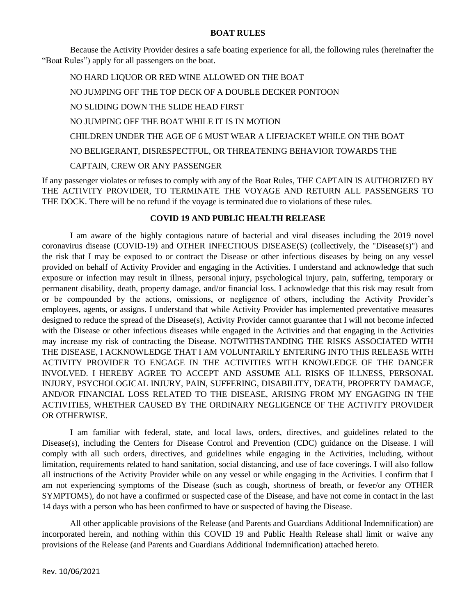#### **BOAT RULES**

Because the Activity Provider desires a safe boating experience for all, the following rules (hereinafter the "Boat Rules") apply for all passengers on the boat.

NO HARD LIQUOR OR RED WINE ALLOWED ON THE BOAT NO JUMPING OFF THE TOP DECK OF A DOUBLE DECKER PONTOON NO SLIDING DOWN THE SLIDE HEAD FIRST NO JUMPING OFF THE BOAT WHILE IT IS IN MOTION CHILDREN UNDER THE AGE OF 6 MUST WEAR A LIFEJACKET WHILE ON THE BOAT NO BELIGERANT, DISRESPECTFUL, OR THREATENING BEHAVIOR TOWARDS THE CAPTAIN, CREW OR ANY PASSENGER

If any passenger violates or refuses to comply with any of the Boat Rules, THE CAPTAIN IS AUTHORIZED BY THE ACTIVITY PROVIDER, TO TERMINATE THE VOYAGE AND RETURN ALL PASSENGERS TO THE DOCK. There will be no refund if the voyage is terminated due to violations of these rules.

# **COVID 19 AND PUBLIC HEALTH RELEASE**

I am aware of the highly contagious nature of bacterial and viral diseases including the 2019 novel coronavirus disease (COVID-19) and OTHER INFECTIOUS DISEASE(S) (collectively, the "Disease(s)") and the risk that I may be exposed to or contract the Disease or other infectious diseases by being on any vessel provided on behalf of Activity Provider and engaging in the Activities. I understand and acknowledge that such exposure or infection may result in illness, personal injury, psychological injury, pain, suffering, temporary or permanent disability, death, property damage, and/or financial loss. I acknowledge that this risk may result from or be compounded by the actions, omissions, or negligence of others, including the Activity Provider's employees, agents, or assigns. I understand that while Activity Provider has implemented preventative measures designed to reduce the spread of the Disease(s), Activity Provider cannot guarantee that I will not become infected with the Disease or other infectious diseases while engaged in the Activities and that engaging in the Activities may increase my risk of contracting the Disease. NOTWITHSTANDING THE RISKS ASSOCIATED WITH THE DISEASE, I ACKNOWLEDGE THAT I AM VOLUNTARILY ENTERING INTO THIS RELEASE WITH ACTIVITY PROVIDER TO ENGAGE IN THE ACTIVITIES WITH KNOWLEDGE OF THE DANGER INVOLVED. I HEREBY AGREE TO ACCEPT AND ASSUME ALL RISKS OF ILLNESS, PERSONAL INJURY, PSYCHOLOGICAL INJURY, PAIN, SUFFERING, DISABILITY, DEATH, PROPERTY DAMAGE, AND/OR FINANCIAL LOSS RELATED TO THE DISEASE, ARISING FROM MY ENGAGING IN THE ACTIVITIES, WHETHER CAUSED BY THE ORDINARY NEGLIGENCE OF THE ACTIVITY PROVIDER OR OTHERWISE.

I am familiar with federal, state, and local laws, orders, directives, and guidelines related to the Disease(s), including the Centers for Disease Control and Prevention (CDC) guidance on the Disease. I will comply with all such orders, directives, and guidelines while engaging in the Activities, including, without limitation, requirements related to hand sanitation, social distancing, and use of face coverings. I will also follow all instructions of the Activity Provider while on any vessel or while engaging in the Activities. I confirm that I am not experiencing symptoms of the Disease (such as cough, shortness of breath, or fever/or any OTHER SYMPTOMS), do not have a confirmed or suspected case of the Disease, and have not come in contact in the last 14 days with a person who has been confirmed to have or suspected of having the Disease.

All other applicable provisions of the Release (and Parents and Guardians Additional Indemnification) are incorporated herein, and nothing within this COVID 19 and Public Health Release shall limit or waive any provisions of the Release (and Parents and Guardians Additional Indemnification) attached hereto.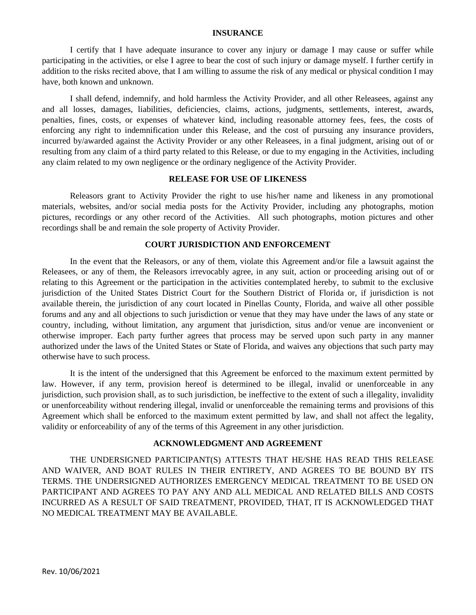#### **INSURANCE**

I certify that I have adequate insurance to cover any injury or damage I may cause or suffer while participating in the activities, or else I agree to bear the cost of such injury or damage myself. I further certify in addition to the risks recited above, that I am willing to assume the risk of any medical or physical condition I may have, both known and unknown.

I shall defend, indemnify, and hold harmless the Activity Provider, and all other Releasees, against any and all losses, damages, liabilities, deficiencies, claims, actions, judgments, settlements, interest, awards, penalties, fines, costs, or expenses of whatever kind, including reasonable attorney fees, fees, the costs of enforcing any right to indemnification under this Release, and the cost of pursuing any insurance providers, incurred by/awarded against the Activity Provider or any other Releasees, in a final judgment, arising out of or resulting from any claim of a third party related to this Release, or due to my engaging in the Activities, including any claim related to my own negligence or the ordinary negligence of the Activity Provider.

## **RELEASE FOR USE OF LIKENESS**

Releasors grant to Activity Provider the right to use his/her name and likeness in any promotional materials, websites, and/or social media posts for the Activity Provider, including any photographs, motion pictures, recordings or any other record of the Activities. All such photographs, motion pictures and other recordings shall be and remain the sole property of Activity Provider.

## **COURT JURISDICTION AND ENFORCEMENT**

In the event that the Releasors, or any of them, violate this Agreement and/or file a lawsuit against the Releasees, or any of them, the Releasors irrevocably agree, in any suit, action or proceeding arising out of or relating to this Agreement or the participation in the activities contemplated hereby, to submit to the exclusive jurisdiction of the United States District Court for the Southern District of Florida or, if jurisdiction is not available therein, the jurisdiction of any court located in Pinellas County, Florida, and waive all other possible forums and any and all objections to such jurisdiction or venue that they may have under the laws of any state or country, including, without limitation, any argument that jurisdiction, situs and/or venue are inconvenient or otherwise improper. Each party further agrees that process may be served upon such party in any manner authorized under the laws of the United States or State of Florida, and waives any objections that such party may otherwise have to such process.

It is the intent of the undersigned that this Agreement be enforced to the maximum extent permitted by law. However, if any term, provision hereof is determined to be illegal, invalid or unenforceable in any jurisdiction, such provision shall, as to such jurisdiction, be ineffective to the extent of such a illegality, invalidity or unenforceability without rendering illegal, invalid or unenforceable the remaining terms and provisions of this Agreement which shall be enforced to the maximum extent permitted by law, and shall not affect the legality, validity or enforceability of any of the terms of this Agreement in any other jurisdiction.

#### **ACKNOWLEDGMENT AND AGREEMENT**

THE UNDERSIGNED PARTICIPANT(S) ATTESTS THAT HE/SHE HAS READ THIS RELEASE AND WAIVER, AND BOAT RULES IN THEIR ENTIRETY, AND AGREES TO BE BOUND BY ITS TERMS. THE UNDERSIGNED AUTHORIZES EMERGENCY MEDICAL TREATMENT TO BE USED ON PARTICIPANT AND AGREES TO PAY ANY AND ALL MEDICAL AND RELATED BILLS AND COSTS INCURRED AS A RESULT OF SAID TREATMENT, PROVIDED, THAT, IT IS ACKNOWLEDGED THAT NO MEDICAL TREATMENT MAY BE AVAILABLE.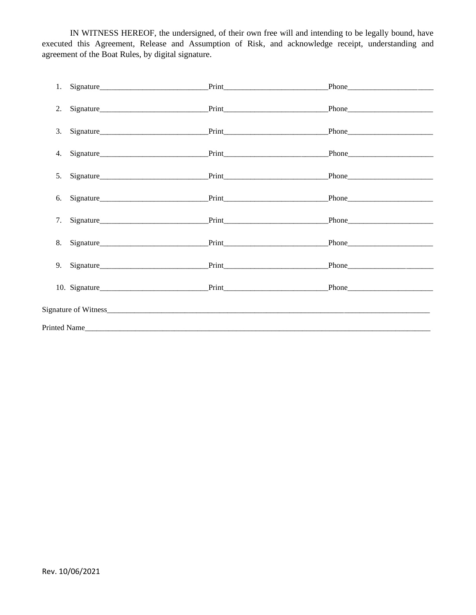IN WITNESS HEREOF, the undersigned, of their own free will and intending to be legally bound, have executed this Agreement, Release and Assumption of Risk, and acknowledge receipt, understanding and agreement of the Boat Rules, by digital signature.

| 2.                                               |  |  |       |  |  |  |
|--------------------------------------------------|--|--|-------|--|--|--|
|                                                  |  |  |       |  |  |  |
|                                                  |  |  |       |  |  |  |
| 5.                                               |  |  |       |  |  |  |
|                                                  |  |  |       |  |  |  |
| 7.                                               |  |  |       |  |  |  |
|                                                  |  |  | Phone |  |  |  |
|                                                  |  |  | Phone |  |  |  |
|                                                  |  |  |       |  |  |  |
| Signature of Witness <b>Signature of Witness</b> |  |  |       |  |  |  |
| Printed Name                                     |  |  |       |  |  |  |